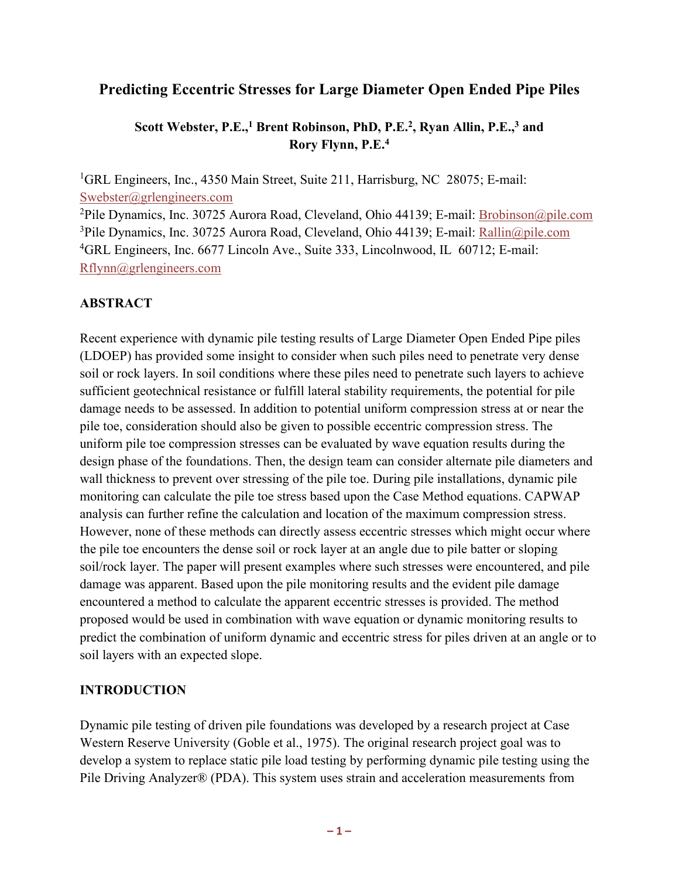# **Predicting Eccentric Stresses for Large Diameter Open Ended Pipe Piles**

## **Scott Webster, P.E.,1 Brent Robinson, PhD, P.E.2, Ryan Allin, P.E.,3 and Rory Flynn, P.E.4**

<sup>1</sup>GRL Engineers, Inc., 4350 Main Street, Suite 211, Harrisburg, NC 28075; E-mail: Swebster@grlengineers.com

<sup>2</sup>Pile Dynamics, Inc. 30725 Aurora Road, Cleveland, Ohio 44139; E-mail: Brobinson@pile.com <sup>3</sup>Pile Dynamics, Inc. 30725 Aurora Road, Cleveland, Ohio 44139; E-mail: Rallin@pile.com <sup>4</sup>GRL Engineers, Inc. 6677 Lincoln Ave., Suite 333, Lincolnwood, IL 60712; E-mail: [Rflynn@grlengineers.com](mailto:Rflynn@grlengineers.com) 

## **ABSTRACT**

Recent experience with dynamic pile testing results of Large Diameter Open Ended Pipe piles (LDOEP) has provided some insight to consider when such piles need to penetrate very dense soil or rock layers. In soil conditions where these piles need to penetrate such layers to achieve sufficient geotechnical resistance or fulfill lateral stability requirements, the potential for pile damage needs to be assessed. In addition to potential uniform compression stress at or near the pile toe, consideration should also be given to possible eccentric compression stress. The uniform pile toe compression stresses can be evaluated by wave equation results during the design phase of the foundations. Then, the design team can consider alternate pile diameters and wall thickness to prevent over stressing of the pile toe. During pile installations, dynamic pile monitoring can calculate the pile toe stress based upon the Case Method equations. CAPWAP analysis can further refine the calculation and location of the maximum compression stress. However, none of these methods can directly assess eccentric stresses which might occur where the pile toe encounters the dense soil or rock layer at an angle due to pile batter or sloping soil/rock layer. The paper will present examples where such stresses were encountered, and pile damage was apparent. Based upon the pile monitoring results and the evident pile damage encountered a method to calculate the apparent eccentric stresses is provided. The method proposed would be used in combination with wave equation or dynamic monitoring results to predict the combination of uniform dynamic and eccentric stress for piles driven at an angle or to soil layers with an expected slope.

#### **INTRODUCTION**

Dynamic pile testing of driven pile foundations was developed by a research project at Case Western Reserve University (Goble et al., 1975). The original research project goal was to develop a system to replace static pile load testing by performing dynamic pile testing using the Pile Driving Analyzer® (PDA). This system uses strain and acceleration measurements from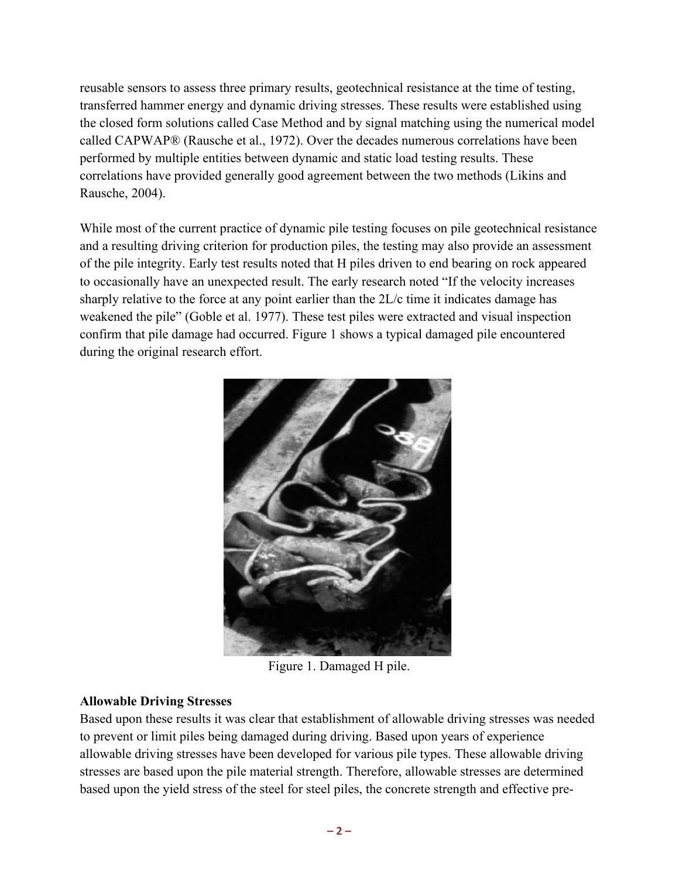reusable sensors to assess three primary results, geotechnical resistance at the time of testing, transferred hammer energy and dynamic driving stresses. These results were established using the closed form solutions called Case Method and by signal matching using the numerical model called CAPWAP® (Rausche et al., 1972). Over the decades numerous correlations have been performed by multiple entities between dynamic and static load testing results. These correlations have provided generally good agreement between the two methods (Likins and Rausche, 2004).

While most of the current practice of dynamic pile testing focuses on pile geotechnical resistance and a resulting driving criterion for production piles, the testing may also provide an assessment of the pile integrity. Early test results noted that H piles driven to end bearing on rock appeared to occasionally have an unexpected result. The early research noted "If the velocity increases sharply relative to the force at any point earlier than the 2L/c time it indicates damage has weakened the pile" (Goble et al. 1977). These test piles were extracted and visual inspection confirm that pile damage had occurred. Figure 1 shows a typical damaged pile encountered during the original research effort.



Figure 1. Damaged H pile.

# **Allowable Driving Stresses**

Based upon these results it was clear that establishment of allowable driving stresses was needed to prevent or limit piles being damaged during driving. Based upon years of experience allowable driving stresses have been developed for various pile types. These allowable driving stresses are based upon the pile material strength. Therefore, allowable stresses are determined based upon the yield stress of the steel for steel piles, the concrete strength and effective pre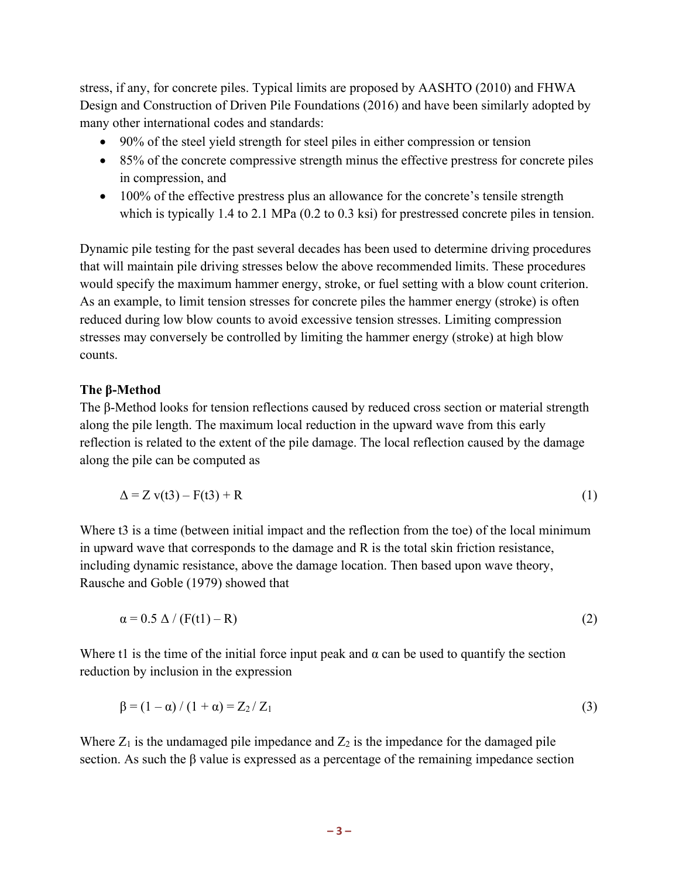stress, if any, for concrete piles. Typical limits are proposed by AASHTO (2010) and FHWA Design and Construction of Driven Pile Foundations (2016) and have been similarly adopted by many other international codes and standards:

- 90% of the steel yield strength for steel piles in either compression or tension
- 85% of the concrete compressive strength minus the effective prestress for concrete piles in compression, and
- 100% of the effective prestress plus an allowance for the concrete's tensile strength which is typically 1.4 to 2.1 MPa (0.2 to 0.3 ksi) for prestressed concrete piles in tension.

Dynamic pile testing for the past several decades has been used to determine driving procedures that will maintain pile driving stresses below the above recommended limits. These procedures would specify the maximum hammer energy, stroke, or fuel setting with a blow count criterion. As an example, to limit tension stresses for concrete piles the hammer energy (stroke) is often reduced during low blow counts to avoid excessive tension stresses. Limiting compression stresses may conversely be controlled by limiting the hammer energy (stroke) at high blow counts.

#### **The β-Method**

The β-Method looks for tension reflections caused by reduced cross section or material strength along the pile length. The maximum local reduction in the upward wave from this early reflection is related to the extent of the pile damage. The local reflection caused by the damage along the pile can be computed as

$$
\Delta = Z \mathbf{v}(t3) - \mathbf{F}(t3) + \mathbf{R} \tag{1}
$$

Where t3 is a time (between initial impact and the reflection from the toe) of the local minimum in upward wave that corresponds to the damage and R is the total skin friction resistance, including dynamic resistance, above the damage location. Then based upon wave theory, Rausche and Goble (1979) showed that

$$
\alpha = 0.5 \Delta / (F(t1) - R) \tag{2}
$$

Where t1 is the time of the initial force input peak and  $\alpha$  can be used to quantify the section reduction by inclusion in the expression

$$
\beta = (1 - \alpha) / (1 + \alpha) = Z_2 / Z_1 \tag{3}
$$

Where  $Z_1$  is the undamaged pile impedance and  $Z_2$  is the impedance for the damaged pile section. As such the β value is expressed as a percentage of the remaining impedance section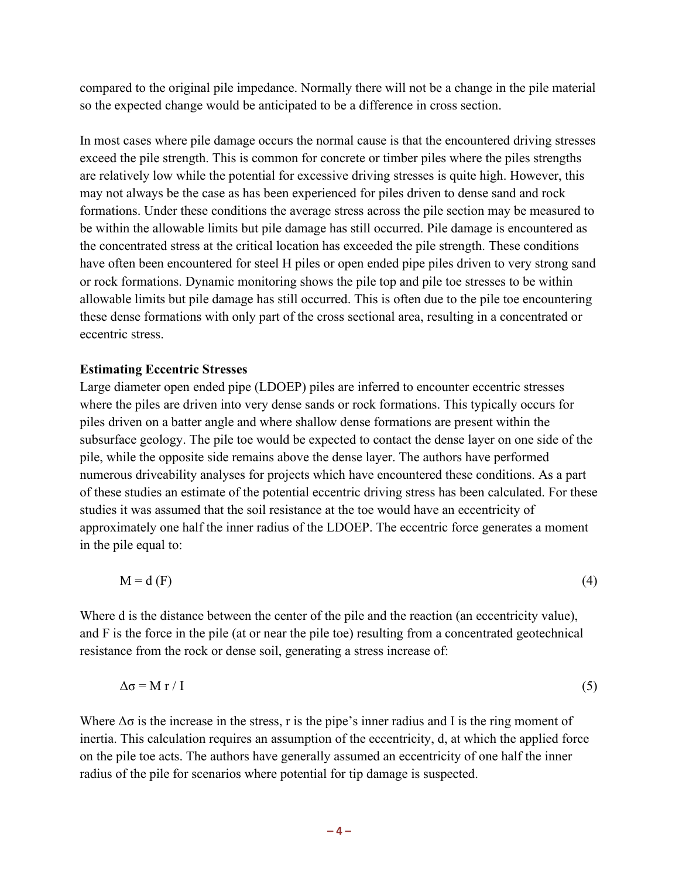compared to the original pile impedance. Normally there will not be a change in the pile material so the expected change would be anticipated to be a difference in cross section.

In most cases where pile damage occurs the normal cause is that the encountered driving stresses exceed the pile strength. This is common for concrete or timber piles where the piles strengths are relatively low while the potential for excessive driving stresses is quite high. However, this may not always be the case as has been experienced for piles driven to dense sand and rock formations. Under these conditions the average stress across the pile section may be measured to be within the allowable limits but pile damage has still occurred. Pile damage is encountered as the concentrated stress at the critical location has exceeded the pile strength. These conditions have often been encountered for steel H piles or open ended pipe piles driven to very strong sand or rock formations. Dynamic monitoring shows the pile top and pile toe stresses to be within allowable limits but pile damage has still occurred. This is often due to the pile toe encountering these dense formations with only part of the cross sectional area, resulting in a concentrated or eccentric stress.

#### **Estimating Eccentric Stresses**

Large diameter open ended pipe (LDOEP) piles are inferred to encounter eccentric stresses where the piles are driven into very dense sands or rock formations. This typically occurs for piles driven on a batter angle and where shallow dense formations are present within the subsurface geology. The pile toe would be expected to contact the dense layer on one side of the pile, while the opposite side remains above the dense layer. The authors have performed numerous driveability analyses for projects which have encountered these conditions. As a part of these studies an estimate of the potential eccentric driving stress has been calculated. For these studies it was assumed that the soil resistance at the toe would have an eccentricity of approximately one half the inner radius of the LDOEP. The eccentric force generates a moment in the pile equal to:

$$
M = d(F) \tag{4}
$$

Where d is the distance between the center of the pile and the reaction (an eccentricity value), and F is the force in the pile (at or near the pile toe) resulting from a concentrated geotechnical resistance from the rock or dense soil, generating a stress increase of:

$$
\Delta \sigma = M r / I \tag{5}
$$

Where  $\Delta\sigma$  is the increase in the stress, r is the pipe's inner radius and I is the ring moment of inertia. This calculation requires an assumption of the eccentricity, d, at which the applied force on the pile toe acts. The authors have generally assumed an eccentricity of one half the inner radius of the pile for scenarios where potential for tip damage is suspected.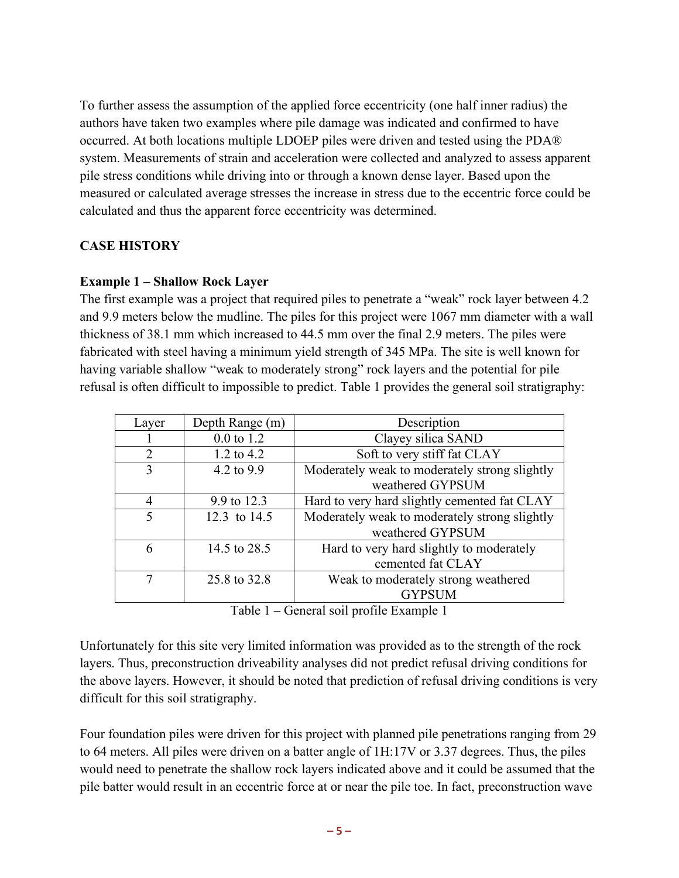To further assess the assumption of the applied force eccentricity (one half inner radius) the authors have taken two examples where pile damage was indicated and confirmed to have occurred. At both locations multiple LDOEP piles were driven and tested using the PDA® system. Measurements of strain and acceleration were collected and analyzed to assess apparent pile stress conditions while driving into or through a known dense layer. Based upon the measured or calculated average stresses the increase in stress due to the eccentric force could be calculated and thus the apparent force eccentricity was determined.

## **CASE HISTORY**

## **Example 1 – Shallow Rock Layer**

The first example was a project that required piles to penetrate a "weak" rock layer between 4.2 and 9.9 meters below the mudline. The piles for this project were 1067 mm diameter with a wall thickness of 38.1 mm which increased to 44.5 mm over the final 2.9 meters. The piles were fabricated with steel having a minimum yield strength of 345 MPa. The site is well known for having variable shallow "weak to moderately strong" rock layers and the potential for pile refusal is often difficult to impossible to predict. Table 1 provides the general soil stratigraphy:

| Layer          | Depth Range (m)       | Description                                   |
|----------------|-----------------------|-----------------------------------------------|
|                | $0.0 \text{ to } 1.2$ | Clayey silica SAND                            |
| $\mathfrak{D}$ | 1.2 to $4.2$          | Soft to very stiff fat CLAY                   |
| 3              | 4.2 to 9.9            | Moderately weak to moderately strong slightly |
|                |                       | weathered GYPSUM                              |
| 4              | 9.9 to 12.3           | Hard to very hard slightly cemented fat CLAY  |
| 5              | 12.3 to 14.5          | Moderately weak to moderately strong slightly |
|                |                       | weathered GYPSUM                              |
| 6              | 14.5 to 28.5          | Hard to very hard slightly to moderately      |
|                |                       | cemented fat CLAY                             |
|                | 25.8 to 32.8          | Weak to moderately strong weathered           |
|                |                       | <b>GYPSUM</b>                                 |

Table 1 – General soil profile Example 1

Unfortunately for this site very limited information was provided as to the strength of the rock layers. Thus, preconstruction driveability analyses did not predict refusal driving conditions for the above layers. However, it should be noted that prediction of refusal driving conditions is very difficult for this soil stratigraphy.

Four foundation piles were driven for this project with planned pile penetrations ranging from 29 to 64 meters. All piles were driven on a batter angle of 1H:17V or 3.37 degrees. Thus, the piles would need to penetrate the shallow rock layers indicated above and it could be assumed that the pile batter would result in an eccentric force at or near the pile toe. In fact, preconstruction wave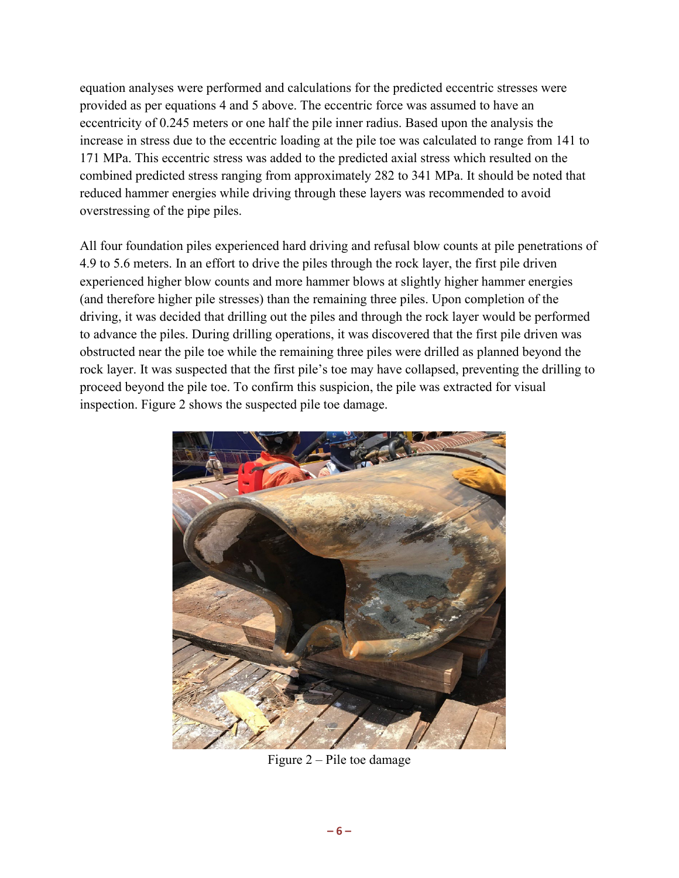equation analyses were performed and calculations for the predicted eccentric stresses were provided as per equations 4 and 5 above. The eccentric force was assumed to have an eccentricity of 0.245 meters or one half the pile inner radius. Based upon the analysis the increase in stress due to the eccentric loading at the pile toe was calculated to range from 141 to 171 MPa. This eccentric stress was added to the predicted axial stress which resulted on the combined predicted stress ranging from approximately 282 to 341 MPa. It should be noted that reduced hammer energies while driving through these layers was recommended to avoid overstressing of the pipe piles.

All four foundation piles experienced hard driving and refusal blow counts at pile penetrations of 4.9 to 5.6 meters. In an effort to drive the piles through the rock layer, the first pile driven experienced higher blow counts and more hammer blows at slightly higher hammer energies (and therefore higher pile stresses) than the remaining three piles. Upon completion of the driving, it was decided that drilling out the piles and through the rock layer would be performed to advance the piles. During drilling operations, it was discovered that the first pile driven was obstructed near the pile toe while the remaining three piles were drilled as planned beyond the rock layer. It was suspected that the first pile's toe may have collapsed, preventing the drilling to proceed beyond the pile toe. To confirm this suspicion, the pile was extracted for visual inspection. Figure 2 shows the suspected pile toe damage.



Figure 2 – Pile toe damage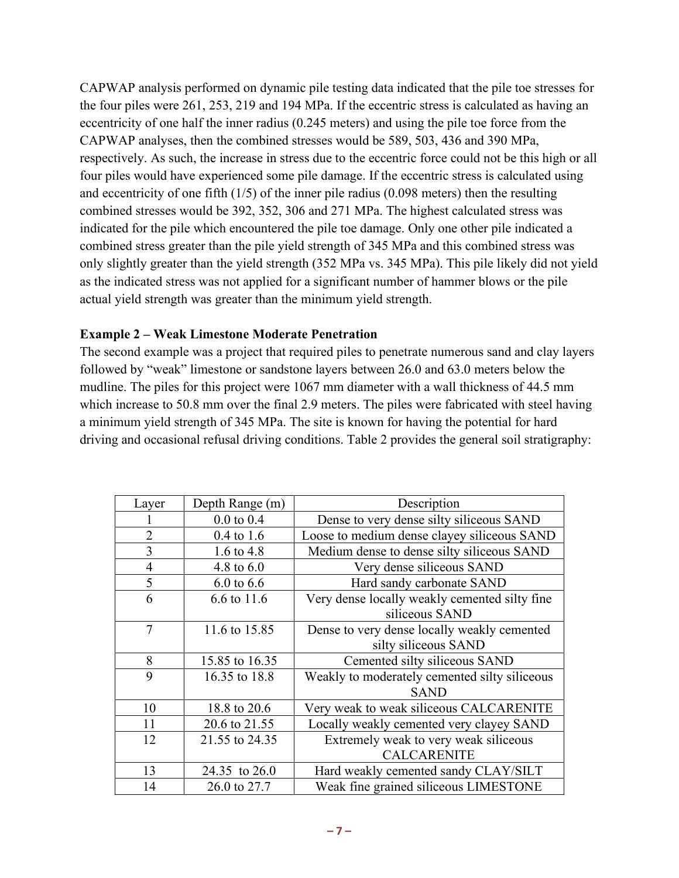CAPWAP analysis performed on dynamic pile testing data indicated that the pile toe stresses for the four piles were 261, 253, 219 and 194 MPa. If the eccentric stress is calculated as having an eccentricity of one half the inner radius (0.245 meters) and using the pile toe force from the CAPWAP analyses, then the combined stresses would be 589, 503, 436 and 390 MPa, respectively. As such, the increase in stress due to the eccentric force could not be this high or all four piles would have experienced some pile damage. If the eccentric stress is calculated using and eccentricity of one fifth (1/5) of the inner pile radius (0.098 meters) then the resulting combined stresses would be 392, 352, 306 and 271 MPa. The highest calculated stress was indicated for the pile which encountered the pile toe damage. Only one other pile indicated a combined stress greater than the pile yield strength of 345 MPa and this combined stress was only slightly greater than the yield strength (352 MPa vs. 345 MPa). This pile likely did not yield as the indicated stress was not applied for a significant number of hammer blows or the pile actual yield strength was greater than the minimum yield strength.

### **Example 2 – Weak Limestone Moderate Penetration**

The second example was a project that required piles to penetrate numerous sand and clay layers followed by "weak" limestone or sandstone layers between 26.0 and 63.0 meters below the mudline. The piles for this project were 1067 mm diameter with a wall thickness of 44.5 mm which increase to 50.8 mm over the final 2.9 meters. The piles were fabricated with steel having a minimum yield strength of 345 MPa. The site is known for having the potential for hard driving and occasional refusal driving conditions. Table 2 provides the general soil stratigraphy:

| Layer          | Depth Range (m)       | Description                                   |
|----------------|-----------------------|-----------------------------------------------|
|                | $0.0 \text{ to } 0.4$ | Dense to very dense silty siliceous SAND      |
| $\overline{2}$ | $0.4 \text{ to } 1.6$ | Loose to medium dense clayey siliceous SAND   |
| 3              | 1.6 to $4.8$          | Medium dense to dense silty siliceous SAND    |
| $\overline{4}$ | 4.8 to $6.0$          | Very dense siliceous SAND                     |
| 5              | $6.0 \text{ to } 6.6$ | Hard sandy carbonate SAND                     |
| 6              | 6.6 to 11.6           | Very dense locally weakly cemented silty fine |
|                |                       | siliceous SAND                                |
| 7              | 11.6 to 15.85         | Dense to very dense locally weakly cemented   |
|                |                       | silty siliceous SAND                          |
| 8              | 15.85 to 16.35        | Cemented silty siliceous SAND                 |
| 9              | 16.35 to 18.8         | Weakly to moderately cemented silty siliceous |
|                |                       | <b>SAND</b>                                   |
| 10             | 18.8 to 20.6          | Very weak to weak siliceous CALCARENITE       |
| 11             | 20.6 to 21.55         | Locally weakly cemented very clayey SAND      |
| 12             | 21.55 to 24.35        | Extremely weak to very weak siliceous         |
|                |                       | <b>CALCARENITE</b>                            |
| 13             | 24.35 to 26.0         | Hard weakly cemented sandy CLAY/SILT          |
| 14             | 26.0 to 27.7          | Weak fine grained siliceous LIMESTONE         |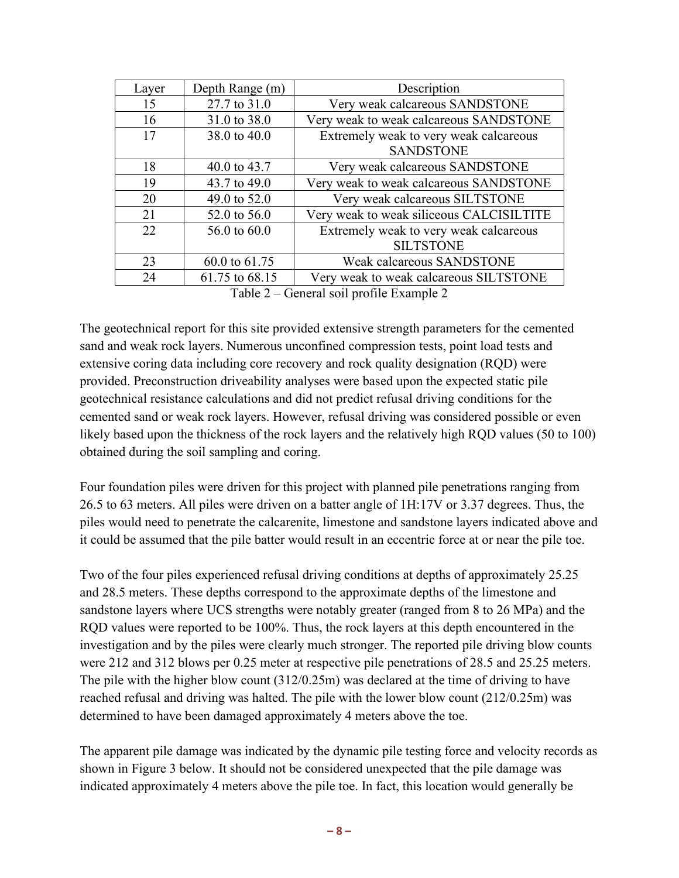| Layer                                                                                            | Depth Range (m) | Description                              |  |
|--------------------------------------------------------------------------------------------------|-----------------|------------------------------------------|--|
| 15                                                                                               | 27.7 to 31.0    | Very weak calcareous SANDSTONE           |  |
| 16                                                                                               | 31.0 to 38.0    | Very weak to weak calcareous SANDSTONE   |  |
| 17                                                                                               | 38.0 to 40.0    | Extremely weak to very weak calcareous   |  |
|                                                                                                  |                 | <b>SANDSTONE</b>                         |  |
| 18                                                                                               | 40.0 to 43.7    | Very weak calcareous SANDSTONE           |  |
| 19                                                                                               | 43.7 to 49.0    | Very weak to weak calcareous SANDSTONE   |  |
| 20                                                                                               | 49.0 to 52.0    | Very weak calcareous SILTSTONE           |  |
| 21                                                                                               | 52.0 to 56.0    | Very weak to weak siliceous CALCISILTITE |  |
| 22                                                                                               | 56.0 to 60.0    | Extremely weak to very weak calcareous   |  |
|                                                                                                  |                 | <b>SILTSTONE</b>                         |  |
| 23                                                                                               | 60.0 to 61.75   | Weak calcareous SANDSTONE                |  |
| 24                                                                                               | 61.75 to 68.15  | Very weak to weak calcareous SILTSTONE   |  |
| $\sqrt{2}$ 11 $\sqrt{2}$ $\sqrt{2}$<br>$\sim$ $\sim$ $\sim$ $\sim$ $\sim$ $\sim$<br>$\mathbf{1}$ |                 |                                          |  |

Table 2 – General soil profile Example 2

The geotechnical report for this site provided extensive strength parameters for the cemented sand and weak rock layers. Numerous unconfined compression tests, point load tests and extensive coring data including core recovery and rock quality designation (RQD) were provided. Preconstruction driveability analyses were based upon the expected static pile geotechnical resistance calculations and did not predict refusal driving conditions for the cemented sand or weak rock layers. However, refusal driving was considered possible or even likely based upon the thickness of the rock layers and the relatively high RQD values (50 to 100) obtained during the soil sampling and coring.

Four foundation piles were driven for this project with planned pile penetrations ranging from 26.5 to 63 meters. All piles were driven on a batter angle of 1H:17V or 3.37 degrees. Thus, the piles would need to penetrate the calcarenite, limestone and sandstone layers indicated above and it could be assumed that the pile batter would result in an eccentric force at or near the pile toe.

Two of the four piles experienced refusal driving conditions at depths of approximately 25.25 and 28.5 meters. These depths correspond to the approximate depths of the limestone and sandstone layers where UCS strengths were notably greater (ranged from 8 to 26 MPa) and the RQD values were reported to be 100%. Thus, the rock layers at this depth encountered in the investigation and by the piles were clearly much stronger. The reported pile driving blow counts were 212 and 312 blows per 0.25 meter at respective pile penetrations of 28.5 and 25.25 meters. The pile with the higher blow count (312/0.25m) was declared at the time of driving to have reached refusal and driving was halted. The pile with the lower blow count (212/0.25m) was determined to have been damaged approximately 4 meters above the toe.

The apparent pile damage was indicated by the dynamic pile testing force and velocity records as shown in Figure 3 below. It should not be considered unexpected that the pile damage was indicated approximately 4 meters above the pile toe. In fact, this location would generally be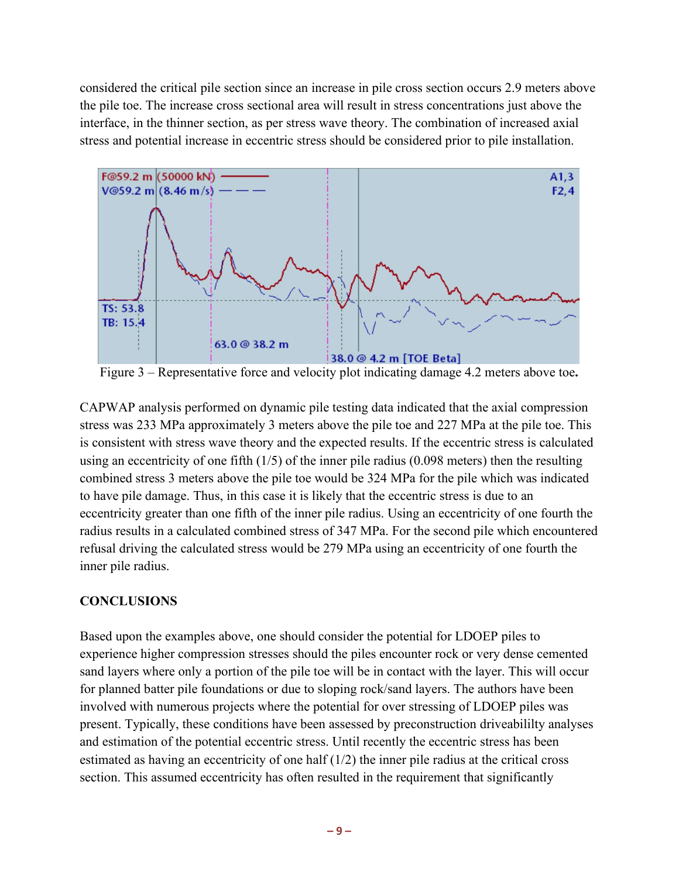considered the critical pile section since an increase in pile cross section occurs 2.9 meters above the pile toe. The increase cross sectional area will result in stress concentrations just above the interface, in the thinner section, as per stress wave theory. The combination of increased axial stress and potential increase in eccentric stress should be considered prior to pile installation.



Figure 3 – Representative force and velocity plot indicating damage 4.2 meters above toe**.**

CAPWAP analysis performed on dynamic pile testing data indicated that the axial compression stress was 233 MPa approximately 3 meters above the pile toe and 227 MPa at the pile toe. This is consistent with stress wave theory and the expected results. If the eccentric stress is calculated using an eccentricity of one fifth (1/5) of the inner pile radius (0.098 meters) then the resulting combined stress 3 meters above the pile toe would be 324 MPa for the pile which was indicated to have pile damage. Thus, in this case it is likely that the eccentric stress is due to an eccentricity greater than one fifth of the inner pile radius. Using an eccentricity of one fourth the radius results in a calculated combined stress of 347 MPa. For the second pile which encountered refusal driving the calculated stress would be 279 MPa using an eccentricity of one fourth the inner pile radius.

## **CONCLUSIONS**

Based upon the examples above, one should consider the potential for LDOEP piles to experience higher compression stresses should the piles encounter rock or very dense cemented sand layers where only a portion of the pile toe will be in contact with the layer. This will occur for planned batter pile foundations or due to sloping rock/sand layers. The authors have been involved with numerous projects where the potential for over stressing of LDOEP piles was present. Typically, these conditions have been assessed by preconstruction driveabililty analyses and estimation of the potential eccentric stress. Until recently the eccentric stress has been estimated as having an eccentricity of one half (1/2) the inner pile radius at the critical cross section. This assumed eccentricity has often resulted in the requirement that significantly